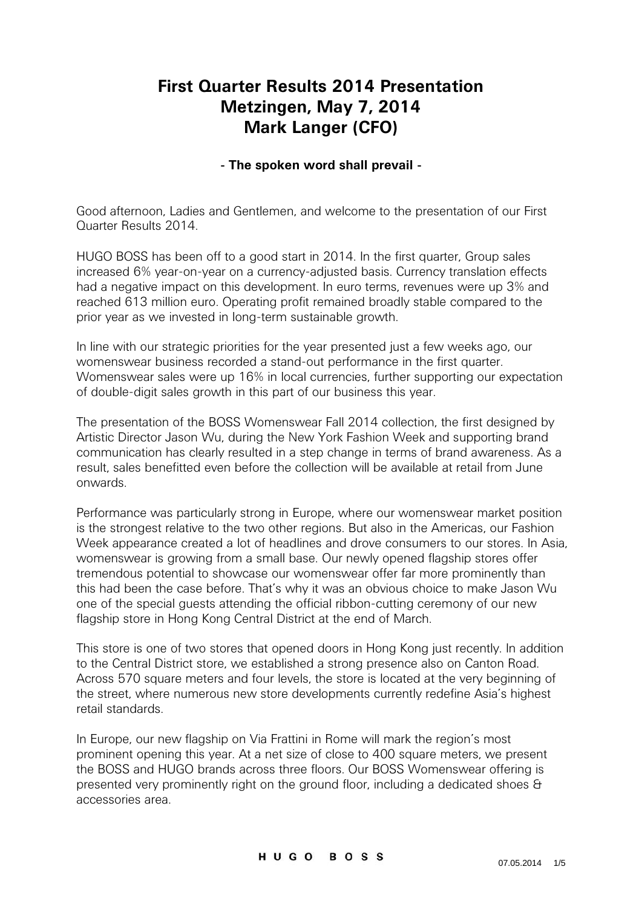## **First Quarter Results 2014 Presentation Metzingen, May 7, 2014 Mark Langer (CFO)**

## **- The spoken word shall prevail -**

Good afternoon, Ladies and Gentlemen, and welcome to the presentation of our First Quarter Results 2014.

HUGO BOSS has been off to a good start in 2014. In the first quarter, Group sales increased 6% year-on-year on a currency-adjusted basis. Currency translation effects had a negative impact on this development. In euro terms, revenues were up 3% and reached 613 million euro. Operating profit remained broadly stable compared to the prior year as we invested in long-term sustainable growth.

In line with our strategic priorities for the year presented just a few weeks ago, our womenswear business recorded a stand-out performance in the first quarter. Womenswear sales were up 16% in local currencies, further supporting our expectation of double-digit sales growth in this part of our business this year.

The presentation of the BOSS Womenswear Fall 2014 collection, the first designed by Artistic Director Jason Wu, during the New York Fashion Week and supporting brand communication has clearly resulted in a step change in terms of brand awareness. As a result, sales benefitted even before the collection will be available at retail from June onwards.

Performance was particularly strong in Europe, where our womenswear market position is the strongest relative to the two other regions. But also in the Americas, our Fashion Week appearance created a lot of headlines and drove consumers to our stores. In Asia, womenswear is growing from a small base. Our newly opened flagship stores offer tremendous potential to showcase our womenswear offer far more prominently than this had been the case before. That's why it was an obvious choice to make Jason Wu one of the special guests attending the official ribbon-cutting ceremony of our new flagship store in Hong Kong Central District at the end of March.

This store is one of two stores that opened doors in Hong Kong just recently. In addition to the Central District store, we established a strong presence also on Canton Road. Across 570 square meters and four levels, the store is located at the very beginning of the street, where numerous new store developments currently redefine Asia's highest retail standards.

In Europe, our new flagship on Via Frattini in Rome will mark the region's most prominent opening this year. At a net size of close to 400 square meters, we present the BOSS and HUGO brands across three floors. Our BOSS Womenswear offering is presented very prominently right on the ground floor, including a dedicated shoes & accessories area.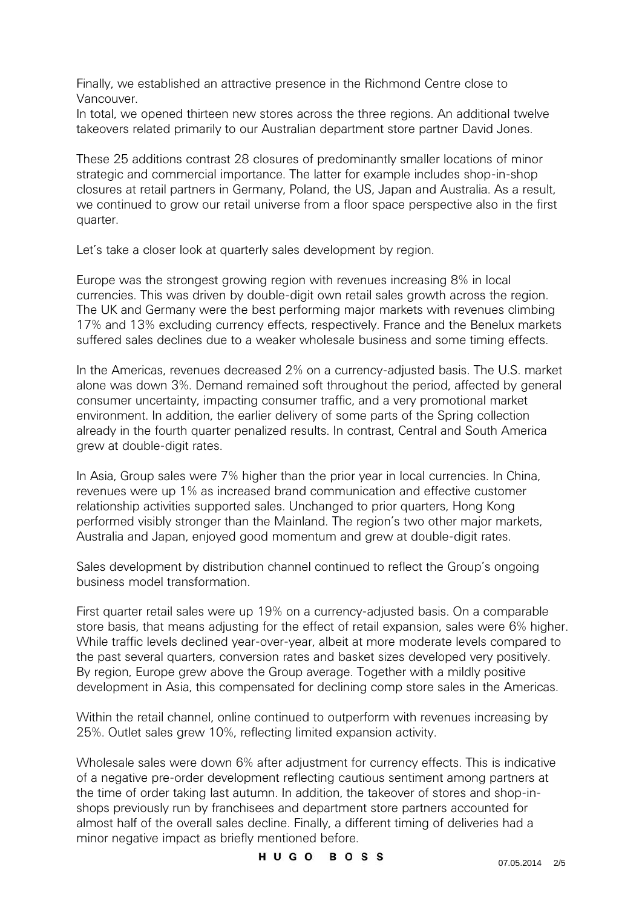Finally, we established an attractive presence in the Richmond Centre close to Vancouver.

In total, we opened thirteen new stores across the three regions. An additional twelve takeovers related primarily to our Australian department store partner David Jones.

These 25 additions contrast 28 closures of predominantly smaller locations of minor strategic and commercial importance. The latter for example includes shop-in-shop closures at retail partners in Germany, Poland, the US, Japan and Australia. As a result, we continued to grow our retail universe from a floor space perspective also in the first quarter.

Let's take a closer look at quarterly sales development by region.

Europe was the strongest growing region with revenues increasing 8% in local currencies. This was driven by double-digit own retail sales growth across the region. The UK and Germany were the best performing major markets with revenues climbing 17% and 13% excluding currency effects, respectively. France and the Benelux markets suffered sales declines due to a weaker wholesale business and some timing effects.

In the Americas, revenues decreased 2% on a currency-adjusted basis. The U.S. market alone was down 3%. Demand remained soft throughout the period, affected by general consumer uncertainty, impacting consumer traffic, and a very promotional market environment. In addition, the earlier delivery of some parts of the Spring collection already in the fourth quarter penalized results. In contrast, Central and South America grew at double-digit rates.

In Asia, Group sales were 7% higher than the prior year in local currencies. In China, revenues were up 1% as increased brand communication and effective customer relationship activities supported sales. Unchanged to prior quarters, Hong Kong performed visibly stronger than the Mainland. The region's two other major markets, Australia and Japan, enjoyed good momentum and grew at double-digit rates.

Sales development by distribution channel continued to reflect the Group's ongoing business model transformation.

First quarter retail sales were up 19% on a currency-adjusted basis. On a comparable store basis, that means adjusting for the effect of retail expansion, sales were 6% higher. While traffic levels declined year-over-year, albeit at more moderate levels compared to the past several quarters, conversion rates and basket sizes developed very positively. By region, Europe grew above the Group average. Together with a mildly positive development in Asia, this compensated for declining comp store sales in the Americas.

Within the retail channel, online continued to outperform with revenues increasing by 25%. Outlet sales grew 10%, reflecting limited expansion activity.

Wholesale sales were down 6% after adjustment for currency effects. This is indicative of a negative pre-order development reflecting cautious sentiment among partners at the time of order taking last autumn. In addition, the takeover of stores and shop-inshops previously run by franchisees and department store partners accounted for almost half of the overall sales decline. Finally, a different timing of deliveries had a minor negative impact as briefly mentioned before.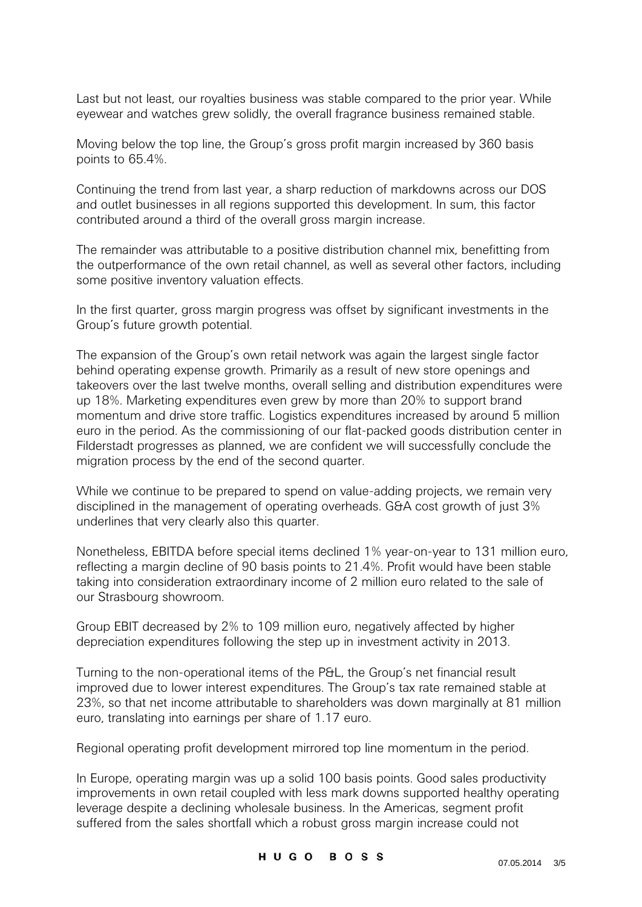Last but not least, our royalties business was stable compared to the prior year. While eyewear and watches grew solidly, the overall fragrance business remained stable.

Moving below the top line, the Group's gross profit margin increased by 360 basis points to 65.4%.

Continuing the trend from last year, a sharp reduction of markdowns across our DOS and outlet businesses in all regions supported this development. In sum, this factor contributed around a third of the overall gross margin increase.

The remainder was attributable to a positive distribution channel mix, benefitting from the outperformance of the own retail channel, as well as several other factors, including some positive inventory valuation effects.

In the first quarter, gross margin progress was offset by significant investments in the Group's future growth potential.

The expansion of the Group's own retail network was again the largest single factor behind operating expense growth. Primarily as a result of new store openings and takeovers over the last twelve months, overall selling and distribution expenditures were up 18%. Marketing expenditures even grew by more than 20% to support brand momentum and drive store traffic. Logistics expenditures increased by around 5 million euro in the period. As the commissioning of our flat-packed goods distribution center in Filderstadt progresses as planned, we are confident we will successfully conclude the migration process by the end of the second quarter.

While we continue to be prepared to spend on value-adding projects, we remain very disciplined in the management of operating overheads. G&A cost growth of just 3% underlines that very clearly also this quarter.

Nonetheless, EBITDA before special items declined 1% year-on-year to 131 million euro, reflecting a margin decline of 90 basis points to 21.4%. Profit would have been stable taking into consideration extraordinary income of 2 million euro related to the sale of our Strasbourg showroom.

Group EBIT decreased by 2% to 109 million euro, negatively affected by higher depreciation expenditures following the step up in investment activity in 2013.

Turning to the non-operational items of the P&L, the Group's net financial result improved due to lower interest expenditures. The Group's tax rate remained stable at 23%, so that net income attributable to shareholders was down marginally at 81 million euro, translating into earnings per share of 1.17 euro.

Regional operating profit development mirrored top line momentum in the period.

In Europe, operating margin was up a solid 100 basis points. Good sales productivity improvements in own retail coupled with less mark downs supported healthy operating leverage despite a declining wholesale business. In the Americas, segment profit suffered from the sales shortfall which a robust gross margin increase could not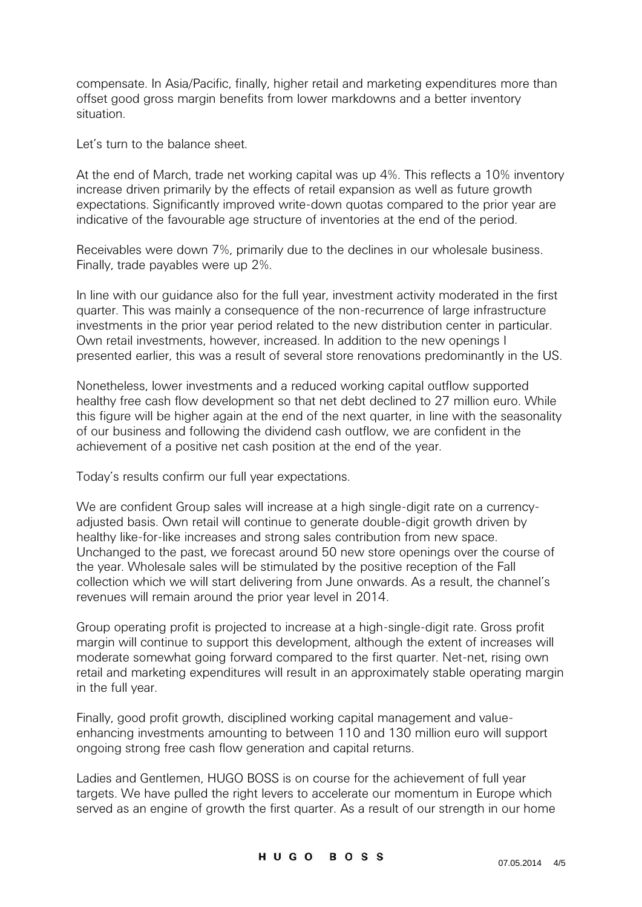compensate. In Asia/Pacific, finally, higher retail and marketing expenditures more than offset good gross margin benefits from lower markdowns and a better inventory situation.

Let's turn to the balance sheet.

At the end of March, trade net working capital was up 4%. This reflects a 10% inventory increase driven primarily by the effects of retail expansion as well as future growth expectations. Significantly improved write-down quotas compared to the prior year are indicative of the favourable age structure of inventories at the end of the period.

Receivables were down 7%, primarily due to the declines in our wholesale business. Finally, trade payables were up 2%.

In line with our guidance also for the full year, investment activity moderated in the first quarter. This was mainly a consequence of the non-recurrence of large infrastructure investments in the prior year period related to the new distribution center in particular. Own retail investments, however, increased. In addition to the new openings I presented earlier, this was a result of several store renovations predominantly in the US.

Nonetheless, lower investments and a reduced working capital outflow supported healthy free cash flow development so that net debt declined to 27 million euro. While this figure will be higher again at the end of the next quarter, in line with the seasonality of our business and following the dividend cash outflow, we are confident in the achievement of a positive net cash position at the end of the year.

Today's results confirm our full year expectations.

We are confident Group sales will increase at a high single-digit rate on a currencyadjusted basis. Own retail will continue to generate double-digit growth driven by healthy like-for-like increases and strong sales contribution from new space. Unchanged to the past, we forecast around 50 new store openings over the course of the year. Wholesale sales will be stimulated by the positive reception of the Fall collection which we will start delivering from June onwards. As a result, the channel's revenues will remain around the prior year level in 2014.

Group operating profit is projected to increase at a high-single-digit rate. Gross profit margin will continue to support this development, although the extent of increases will moderate somewhat going forward compared to the first quarter. Net-net, rising own retail and marketing expenditures will result in an approximately stable operating margin in the full year.

Finally, good profit growth, disciplined working capital management and valueenhancing investments amounting to between 110 and 130 million euro will support ongoing strong free cash flow generation and capital returns.

Ladies and Gentlemen, HUGO BOSS is on course for the achievement of full year targets. We have pulled the right levers to accelerate our momentum in Europe which served as an engine of growth the first quarter. As a result of our strength in our home